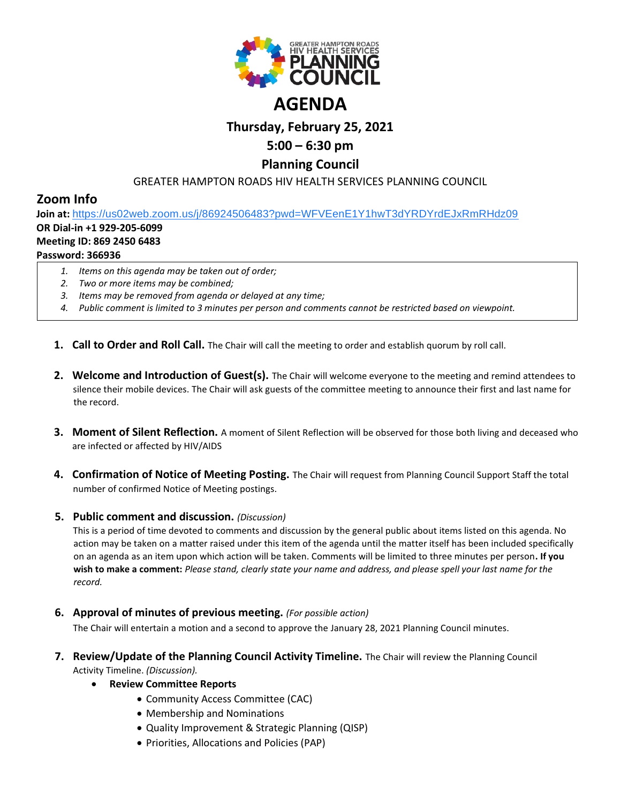

# **Thursday, February 25, 2021**

# **5:00 – 6:30 pm**

## **Planning Council**

### GREATER HAMPTON ROADS HIV HEALTH SERVICES PLANNING COUNCIL

## **Zoom Info**

**Join at:** [https://us02web.zoom.us/j/86924506483?pwd=WFVEenE1Y1hwT3dYRDYrdEJxRmRHdz09](https://www.google.com/url?q=https://us02web.zoom.us/j/86924506483?pwd%3DWFVEenE1Y1hwT3dYRDYrdEJxRmRHdz09&sa=D&source=calendar&ust=1614104985381000&usg=AOvVaw0ZCMdjekaUW6dT-QiaNhcV) **OR Dial-in +1 929-205-6099**

## **Meeting ID: 869 2450 6483**

### **Password: 366936**

- *1. Items on this agenda may be taken out of order;*
- *2. Two or more items may be combined;*
- *3. Items may be removed from agenda or delayed at any time;*
- *4. Public comment is limited to 3 minutes per person and comments cannot be restricted based on viewpoint.*
- **1. Call to Order and Roll Call.** The Chair will call the meeting to order and establish quorum by roll call.
- **2. Welcome and Introduction of Guest(s).** The Chair will welcome everyone to the meeting and remind attendees to silence their mobile devices. The Chair will ask guests of the committee meeting to announce their first and last name for the record.
- **3. Moment of Silent Reflection.** A moment of Silent Reflection will be observed for those both living and deceased who are infected or affected by HIV/AIDS
- **4. Confirmation of Notice of Meeting Posting.** The Chair will request from Planning Council Support Staff the total number of confirmed Notice of Meeting postings.

#### **5. Public comment and discussion.** *(Discussion)*

This is a period of time devoted to comments and discussion by the general public about items listed on this agenda. No action may be taken on a matter raised under this item of the agenda until the matter itself has been included specifically on an agenda as an item upon which action will be taken. Comments will be limited to three minutes per person**. If you wish to make a comment:** *Please stand, clearly state your name and address, and please spell your last name for the record.*

**6. Approval of minutes of previous meeting.** *(For possible action)*

The Chair will entertain a motion and a second to approve the January 28, 2021 Planning Council minutes.

- **7. Review/Update of the Planning Council Activity Timeline.** The Chair will review the Planning Council Activity Timeline. *(Discussion).*
	- **Review Committee Reports**
		- Community Access Committee (CAC)
		- Membership and Nominations
		- Quality Improvement & Strategic Planning (QISP)
		- Priorities, Allocations and Policies (PAP)